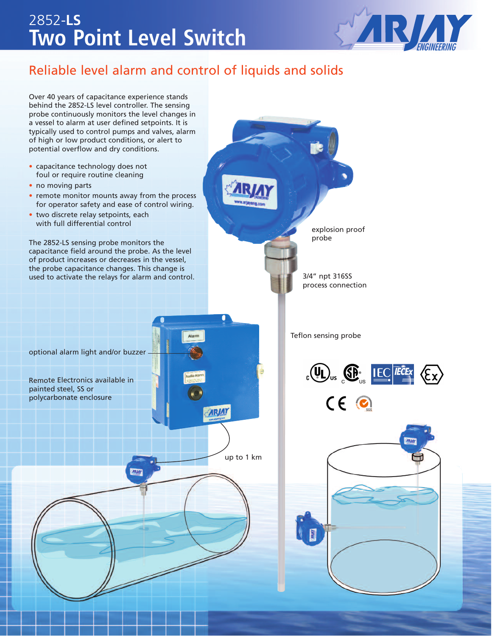## **Two Point Level Switch** 2852-**LS**



### Reliable level alarm and control of liquids and solids

Over 40 years of capacitance experience stands behind the 2852-LS level controller. The sensing probe continuously monitors the level changes in a vessel to alarm at user defined setpoints. It is typically used to control pumps and valves, alarm of high or low product conditions, or alert to potential overflow and dry conditions. • capacitance technology does not foul or require routine cleaning • no moving parts • remote monitor mounts away from the process for operator safety and ease of control wiring. • two discrete relay setpoints, each with full differential control explosion proof probe The 2852-LS sensing probe monitors the capacitance field around the probe. As the level of product increases or decreases in the vessel, the probe capacitance changes. This change is 3/4" npt 316SS used to activate the relays for alarm and control. process connection Teflon sensing probe Alarn optional alarm light and/or buzzer $_{c}$  (U<sub>U</sub><sub>us</sub>  $_{c}$  C<sub>us</sub> IEC *IECEx*  $\langle E \rangle$ Remote Electronics available in painted steel, SS or  $CE$ polycarbonate enclosure **ARJAY** up to 1 km